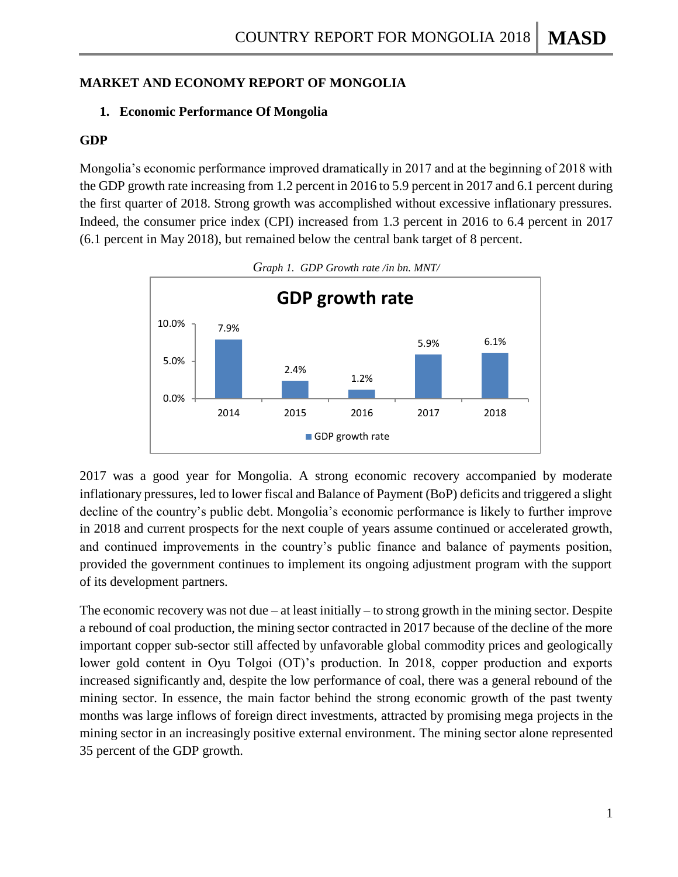## **MARKET AND ECONOMY REPORT OF MONGOLIA**

### **1. Economic Performance Of Mongolia**

### **GDP**

Mongolia's economic performance improved dramatically in 2017 and at the beginning of 2018 with the GDP growth rate increasing from 1.2 percent in 2016 to 5.9 percent in 2017 and 6.1 percent during the first quarter of 2018. Strong growth was accomplished without excessive inflationary pressures. Indeed, the consumer price index (CPI) increased from 1.3 percent in 2016 to 6.4 percent in 2017 (6.1 percent in May 2018), but remained below the central bank target of 8 percent.





2017 was a good year for Mongolia. A strong economic recovery accompanied by moderate inflationary pressures, led to lower fiscal and Balance of Payment (BoP) deficits and triggered a slight decline of the country's public debt. Mongolia's economic performance is likely to further improve in 2018 and current prospects for the next couple of years assume continued or accelerated growth, and continued improvements in the country's public finance and balance of payments position, provided the government continues to implement its ongoing adjustment program with the support of its development partners.

The economic recovery was not due – at least initially – to strong growth in the mining sector. Despite a rebound of coal production, the mining sector contracted in 2017 because of the decline of the more important copper sub-sector still affected by unfavorable global commodity prices and geologically lower gold content in Oyu Tolgoi (OT)'s production. In 2018, copper production and exports increased significantly and, despite the low performance of coal, there was a general rebound of the mining sector. In essence, the main factor behind the strong economic growth of the past twenty months was large inflows of foreign direct investments, attracted by promising mega projects in the mining sector in an increasingly positive external environment. The mining sector alone represented 35 percent of the GDP growth.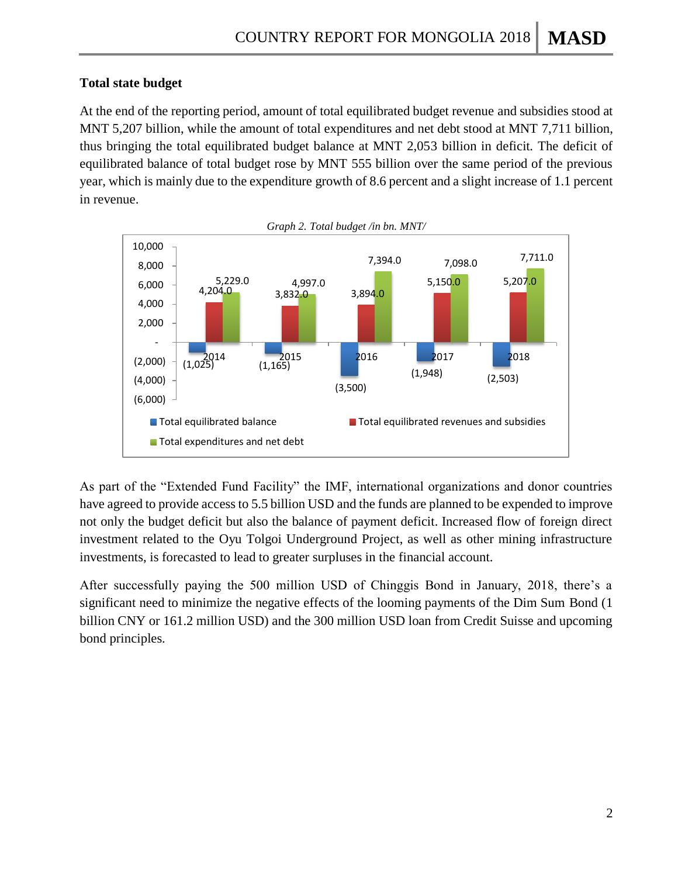## **Total state budget**

At the end of the reporting period, amount of total equilibrated budget revenue and subsidies stood at MNT 5,207 billion, while the amount of total expenditures and net debt stood at MNT 7,711 billion, thus bringing the total equilibrated budget balance at MNT 2,053 billion in deficit. The deficit of equilibrated balance of total budget rose by MNT 555 billion over the same period of the previous year, which is mainly due to the expenditure growth of 8.6 percent and a slight increase of 1.1 percent in revenue.



As part of the "Extended Fund Facility" the IMF, international organizations and donor countries have agreed to provide access to 5.5 billion USD and the funds are planned to be expended to improve not only the budget deficit but also the balance of payment deficit. Increased flow of foreign direct investment related to the Oyu Tolgoi Underground Project, as well as other mining infrastructure investments, is forecasted to lead to greater surpluses in the financial account.

After successfully paying the 500 million USD of Chinggis Bond in January, 2018, there's a significant need to minimize the negative effects of the looming payments of the Dim Sum Bond (1) billion CNY or 161.2 million USD) and the 300 million USD loan from Credit Suisse and upcoming bond principles.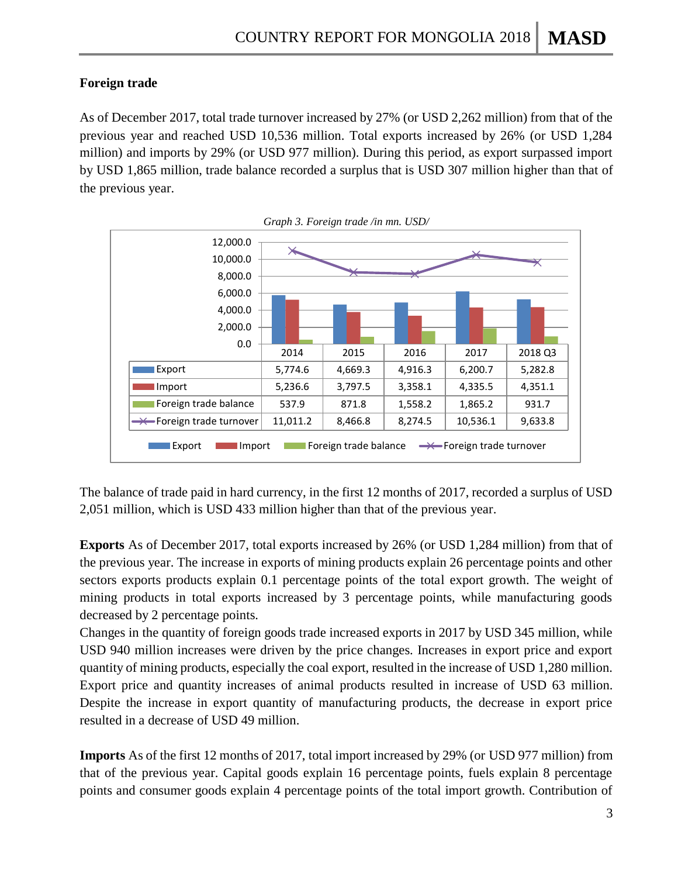## **Foreign trade**

As of December 2017, total trade turnover increased by 27% (or USD 2,262 million) from that of the previous year and reached USD 10,536 million. Total exports increased by 26% (or USD 1,284 million) and imports by 29% (or USD 977 million). During this period, as export surpassed import by USD 1,865 million, trade balance recorded a surplus that is USD 307 million higher than that of the previous year.





The balance of trade paid in hard currency, in the first 12 months of 2017, recorded a surplus of USD 2,051 million, which is USD 433 million higher than that of the previous year.

**Exports** As of December 2017, total exports increased by 26% (or USD 1,284 million) from that of the previous year. The increase in exports of mining products explain 26 percentage points and other sectors exports products explain 0.1 percentage points of the total export growth. The weight of mining products in total exports increased by 3 percentage points, while manufacturing goods decreased by 2 percentage points.

Changes in the quantity of foreign goods trade increased exports in 2017 by USD 345 million, while USD 940 million increases were driven by the price changes. Increases in export price and export quantity of mining products, especially the coal export, resulted in the increase of USD 1,280 million. Export price and quantity increases of animal products resulted in increase of USD 63 million. Despite the increase in export quantity of manufacturing products, the decrease in export price resulted in a decrease of USD 49 million.

**Imports** As of the first 12 months of 2017, total import increased by 29% (or USD 977 million) from that of the previous year. Capital goods explain 16 percentage points, fuels explain 8 percentage points and consumer goods explain 4 percentage points of the total import growth. Contribution of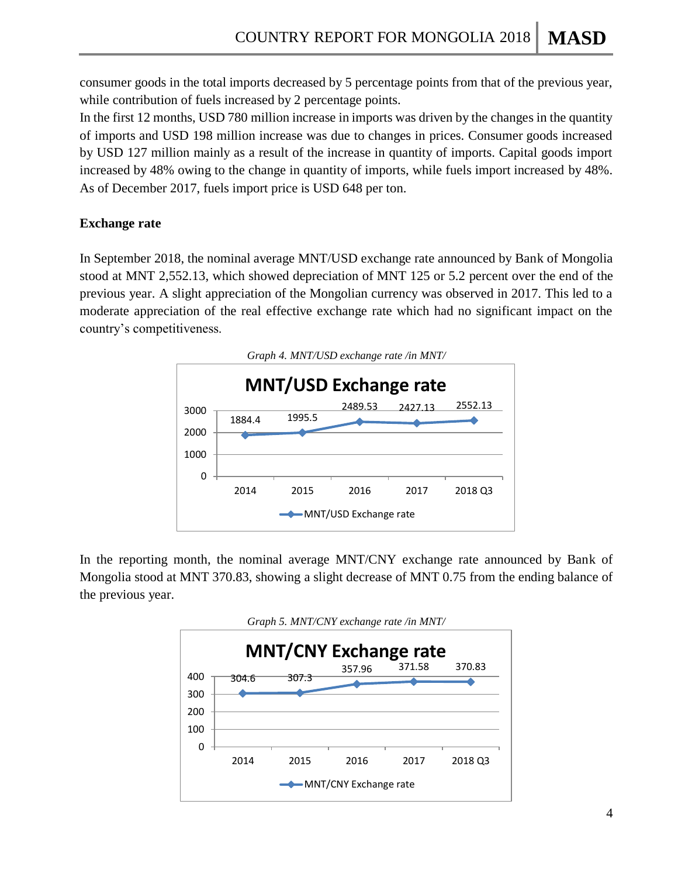consumer goods in the total imports decreased by 5 percentage points from that of the previous year, while contribution of fuels increased by 2 percentage points.

In the first 12 months, USD 780 million increase in imports was driven by the changes in the quantity of imports and USD 198 million increase was due to changes in prices. Consumer goods increased by USD 127 million mainly as a result of the increase in quantity of imports. Capital goods import increased by 48% owing to the change in quantity of imports, while fuels import increased by 48%. As of December 2017, fuels import price is USD 648 per ton.

## **Exchange rate**

In September 2018, the nominal average MNT/USD exchange rate announced by Bank of Mongolia stood at MNT 2,552.13, which showed depreciation of MNT 125 or 5.2 percent over the end of the previous year. A slight appreciation of the Mongolian currency was observed in 2017. This led to a moderate appreciation of the real effective exchange rate which had no significant impact on the country's competitiveness.



In the reporting month, the nominal average MNT/CNY exchange rate announced by Bank of Mongolia stood at MNT 370.83, showing a slight decrease of MNT 0.75 from the ending balance of the previous year.

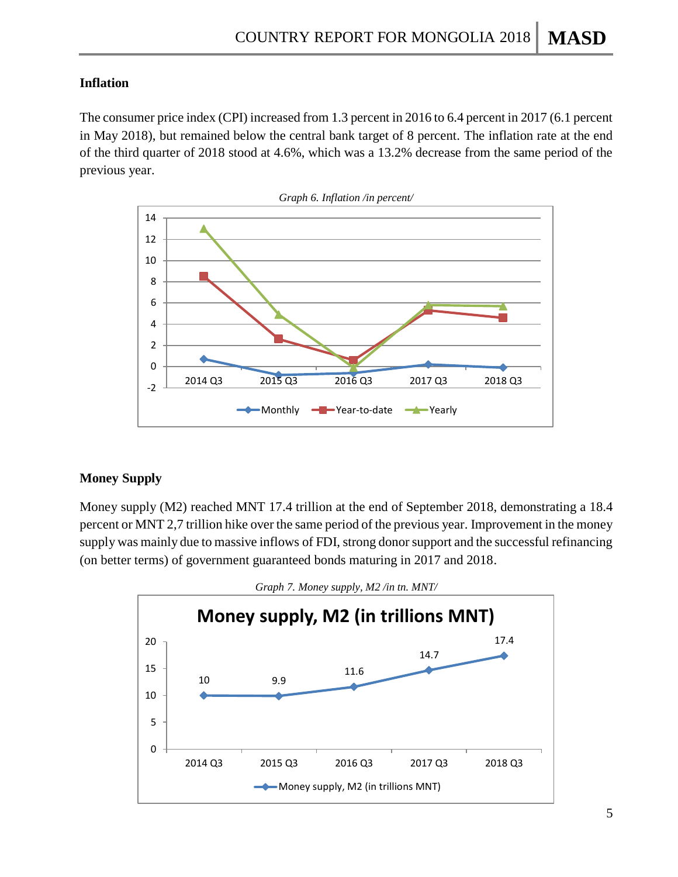### **Inflation**

The consumer price index (CPI) increased from 1.3 percent in 2016 to 6.4 percent in 2017 (6.1 percent in May 2018), but remained below the central bank target of 8 percent. The inflation rate at the end of the third quarter of 2018 stood at 4.6%, which was a 13.2% decrease from the same period of the previous year.



### **Money Supply**

Money supply (M2) reached MNT 17.4 trillion at the end of September 2018, demonstrating a 18.4 percent or MNT 2,7 trillion hike over the same period of the previous year. Improvement in the money supply was mainly due to massive inflows of FDI, strong donor support and the successful refinancing (on better terms) of government guaranteed bonds maturing in 2017 and 2018.



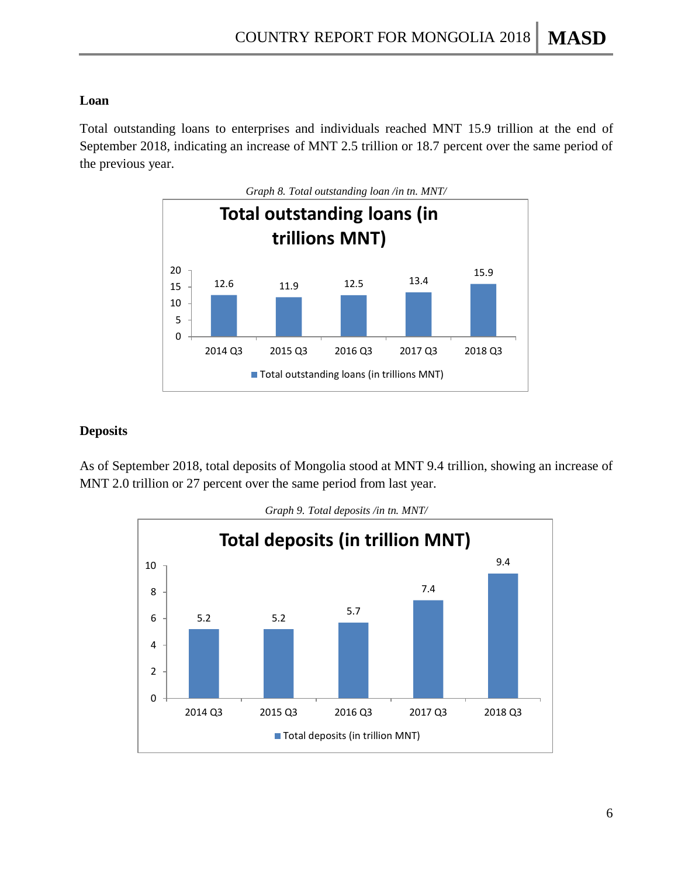### **Loan**

Total outstanding loans to enterprises and individuals reached MNT 15.9 trillion at the end of September 2018, indicating an increase of MNT 2.5 trillion or 18.7 percent over the same period of the previous year.



#### **Deposits**

As of September 2018, total deposits of Mongolia stood at MNT 9.4 trillion, showing an increase of MNT 2.0 trillion or 27 percent over the same period from last year.

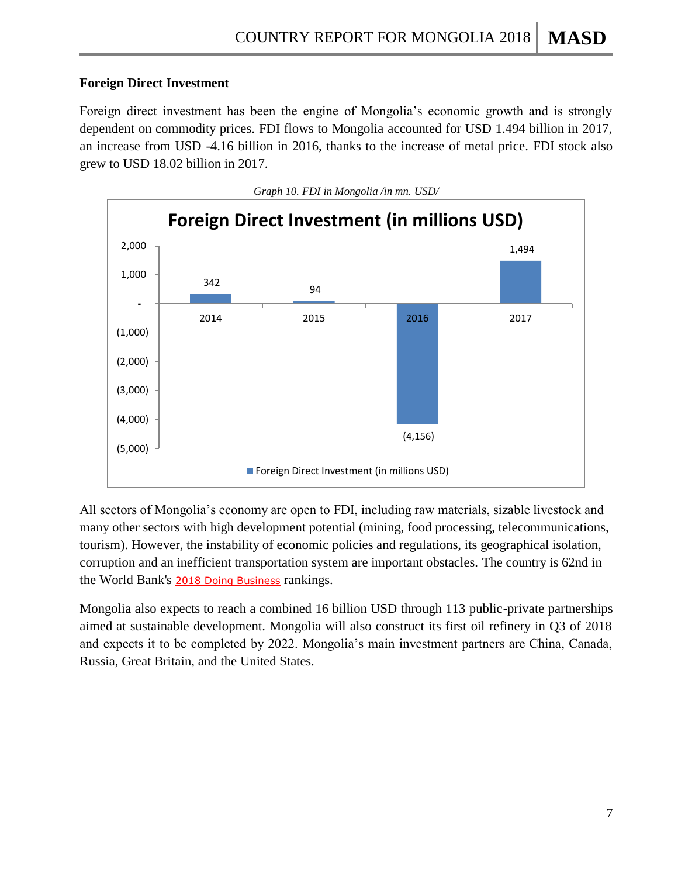# **Foreign Direct Investment**

Foreign direct investment has been the engine of Mongolia's economic growth and is strongly dependent on commodity prices. FDI flows to Mongolia accounted for USD 1.494 billion in 2017, an increase from USD -4.16 billion in 2016, thanks to the increase of metal price. FDI stock also grew to USD 18.02 billion in 2017.



All sectors of Mongolia's economy are open to FDI, including raw materials, sizable livestock and many other sectors with high development potential (mining, food processing, telecommunications, tourism). However, the instability of economic policies and regulations, its geographical isolation, corruption and an inefficient transportation system are important obstacles. The country is 62nd in the World Bank's [2018 Doing Business](http://www.doingbusiness.org/data/exploreeconomies/mongolia) rankings.

Mongolia also expects to reach a combined 16 billion USD through 113 public-private partnerships aimed at sustainable development. Mongolia will also construct its first oil refinery in Q3 of 2018 and expects it to be completed by 2022. Mongolia's main investment partners are China, Canada, Russia, Great Britain, and the United States.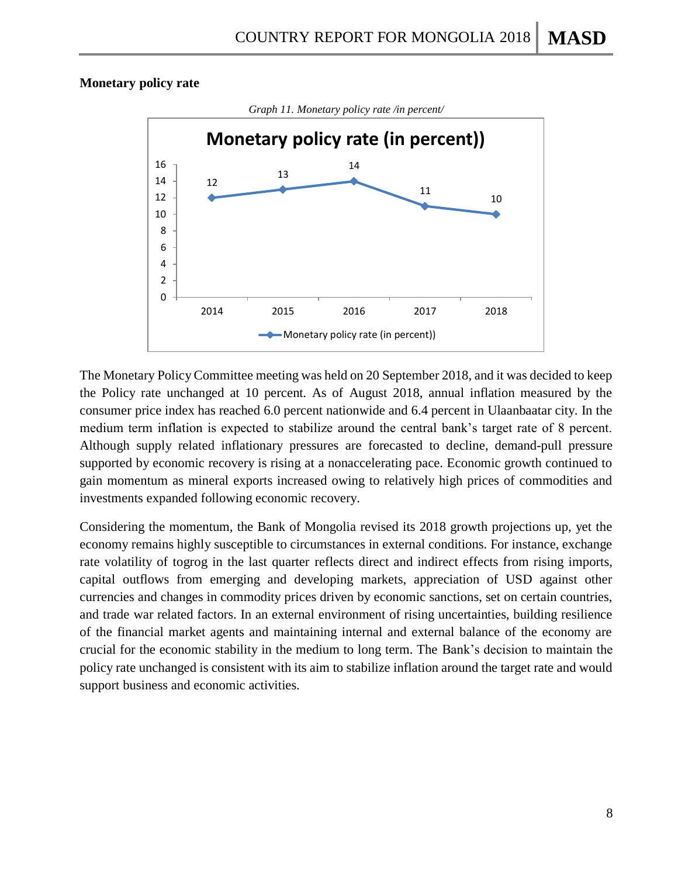#### **Monetary policy rate**



The Monetary Policy Committee meeting was held on 20 September 2018, and it was decided to keep the Policy rate unchanged at 10 percent. As of August 2018, annual inflation measured by the consumer price index has reached 6.0 percent nationwide and 6.4 percent in Ulaanbaatar city. In the medium term inflation is expected to stabilize around the central bank's target rate of 8 percent. Although supply related inflationary pressures are forecasted to decline, demand-pull pressure supported by economic recovery is rising at a nonaccelerating pace. Economic growth continued to gain momentum as mineral exports increased owing to relatively high prices of commodities and investments expanded following economic recovery.

Considering the momentum, the Bank of Mongolia revised its 2018 growth projections up, yet the economy remains highly susceptible to circumstances in external conditions. For instance, exchange rate volatility of togrog in the last quarter reflects direct and indirect effects from rising imports, capital outflows from emerging and developing markets, appreciation of USD against other currencies and changes in commodity prices driven by economic sanctions, set on certain countries, and trade war related factors. In an external environment of rising uncertainties, building resilience of the financial market agents and maintaining internal and external balance of the economy are crucial for the economic stability in the medium to long term. The Bank's decision to maintain the policy rate unchanged is consistent with its aim to stabilize inflation around the target rate and would support business and economic activities.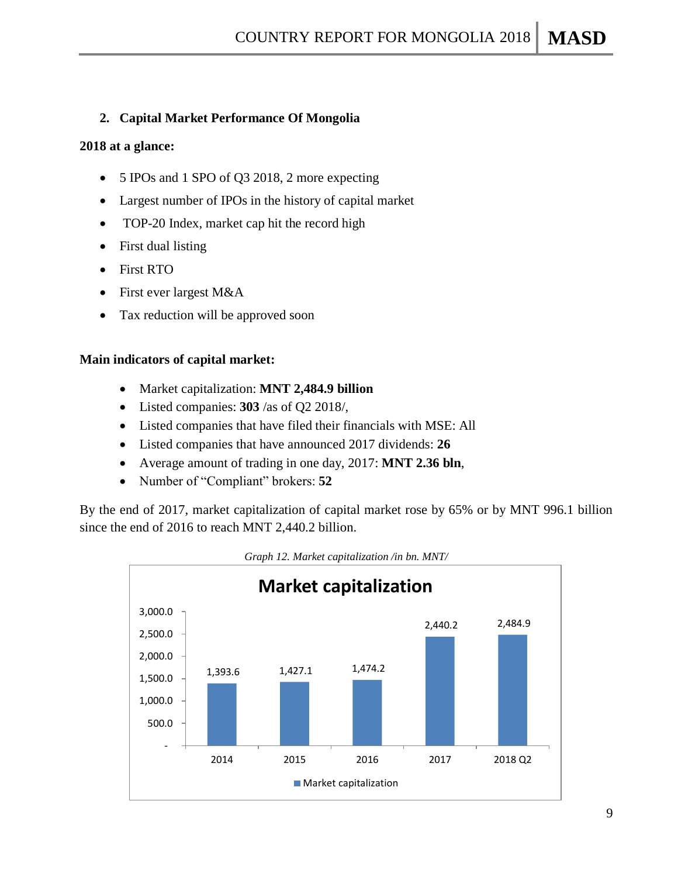### **2. Capital Market Performance Of Mongolia**

#### **2018 at a glance:**

- 5 IPOs and 1 SPO of Q3 2018, 2 more expecting
- Largest number of IPOs in the history of capital market
- TOP-20 Index, market cap hit the record high
- First dual listing
- First RTO
- First ever largest M&A
- Tax reduction will be approved soon

#### **Main indicators of capital market:**

- Market capitalization: **MNT 2,484.9 billion**
- Listed companies: **303** /as of Q2 2018/,
- Listed companies that have filed their financials with MSE: All
- Listed companies that have announced 2017 dividends: **26**
- Average amount of trading in one day, 2017: **MNT 2.36 bln**,
- Number of "Compliant" brokers: **52**

By the end of 2017, market capitalization of capital market rose by 65% or by MNT 996.1 billion since the end of 2016 to reach MNT 2,440.2 billion.



*Graph 12. Market capitalization /in bn. MNT/*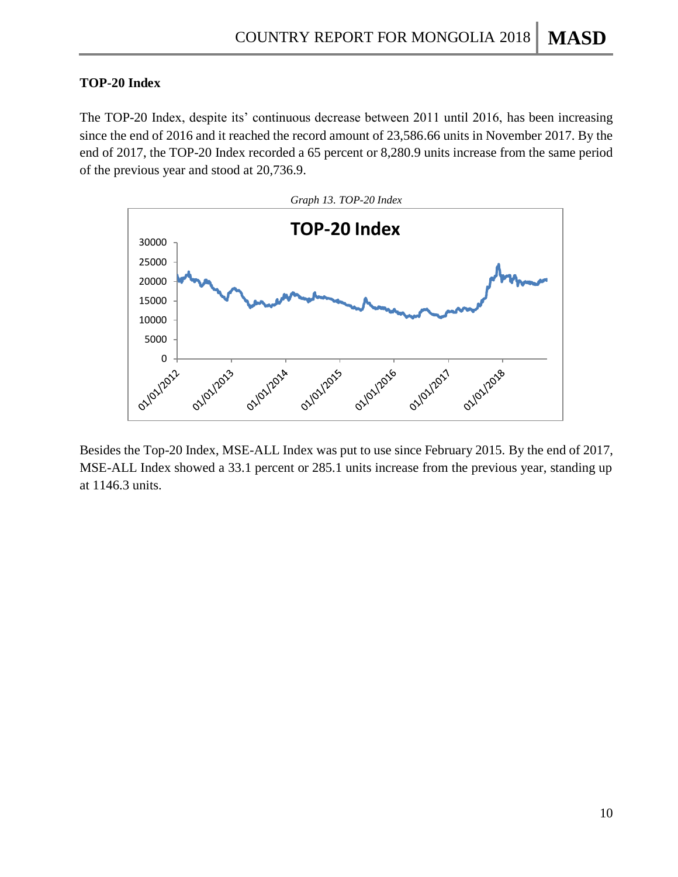#### **TOP-20 Index**

The TOP-20 Index, despite its' continuous decrease between 2011 until 2016, has been increasing since the end of 2016 and it reached the record amount of 23,586.66 units in November 2017. By the end of 2017, the TOP-20 Index recorded a 65 percent or 8,280.9 units increase from the same period of the previous year and stood at 20,736.9.



Besides the Top-20 Index, MSE-ALL Index was put to use since February 2015. By the end of 2017, MSE-ALL Index showed a 33.1 percent or 285.1 units increase from the previous year, standing up at 1146.3 units.